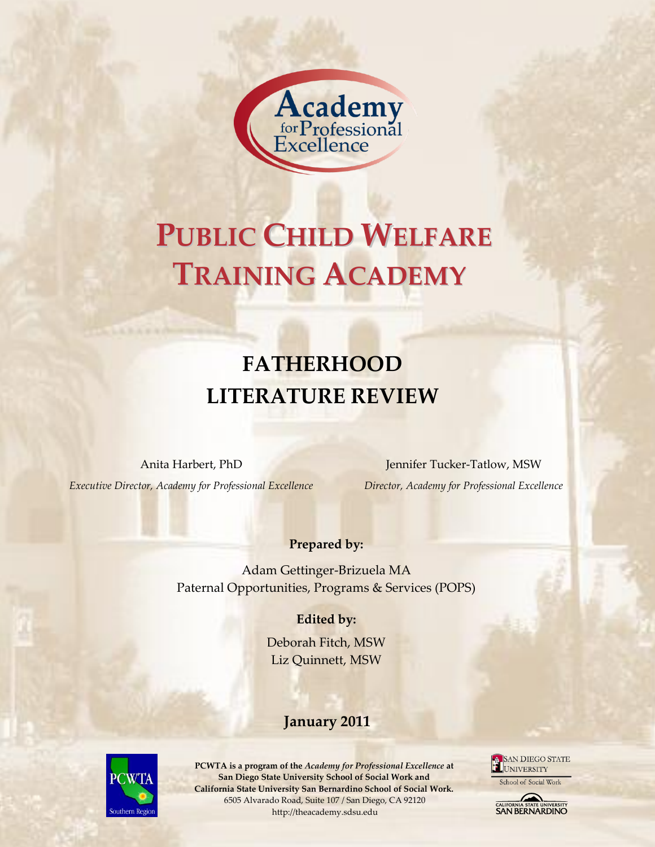

# **PUBLIC CHILD WELFARE TRAINING ACADEMY**

# **FATHERHOOD LITERATURE REVIEW**

Anita Harbert, PhD

*Executive Director, Academy for Professional Excellence*

Jennifer Tucker-Tatlow, MSW *Director, Academy for Professional Excellence*

# **Prepared by:**

Adam Gettinger-Brizuela MA Paternal Opportunities, Programs & Services (POPS)

# **Edited by:**

Deborah Fitch, MSW Liz Quinnett, MSW

# **January 2011**



**PCWTA is a program of the** *Academy for Professional Excellence* **at San Diego State University School of Social Work and California State University San Bernardino School of Social Work.** 6505 Alvarado Road, Suite 107 / San Diego, CA 92120 http://theacademy.sdsu.edu



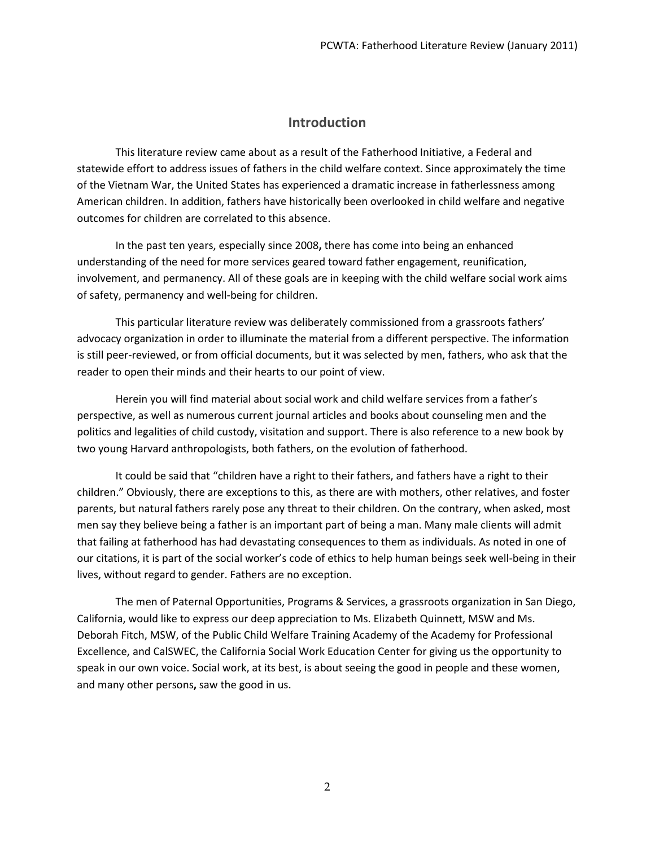# **Introduction**

This literature review came about as a result of the Fatherhood Initiative, a Federal and statewide effort to address issues of fathers in the child welfare context. Since approximately the time of the Vietnam War, the United States has experienced a dramatic increase in fatherlessness among American children. In addition, fathers have historically been overlooked in child welfare and negative outcomes for children are correlated to this absence.

In the past ten years, especially since 2008**,** there has come into being an enhanced understanding of the need for more services geared toward father engagement, reunification, involvement, and permanency. All of these goals are in keeping with the child welfare social work aims of safety, permanency and well-being for children.

This particular literature review was deliberately commissioned from a grassroots fathers' advocacy organization in order to illuminate the material from a different perspective. The information is still peer-reviewed, or from official documents, but it was selected by men, fathers, who ask that the reader to open their minds and their hearts to our point of view.

Herein you will find material about social work and child welfare services from a father's perspective, as well as numerous current journal articles and books about counseling men and the politics and legalities of child custody, visitation and support. There is also reference to a new book by two young Harvard anthropologists, both fathers, on the evolution of fatherhood.

It could be said that "children have a right to their fathers, and fathers have a right to their children." Obviously, there are exceptions to this, as there are with mothers, other relatives, and foster parents, but natural fathers rarely pose any threat to their children. On the contrary, when asked, most men say they believe being a father is an important part of being a man. Many male clients will admit that failing at fatherhood has had devastating consequences to them as individuals. As noted in one of our citations, it is part of the social worker's code of ethics to help human beings seek well-being in their lives, without regard to gender. Fathers are no exception.

The men of Paternal Opportunities, Programs & Services, a grassroots organization in San Diego, California, would like to express our deep appreciation to Ms. Elizabeth Quinnett, MSW and Ms. Deborah Fitch, MSW, of the Public Child Welfare Training Academy of the Academy for Professional Excellence, and CalSWEC, the California Social Work Education Center for giving us the opportunity to speak in our own voice. Social work, at its best, is about seeing the good in people and these women, and many other persons**,** saw the good in us.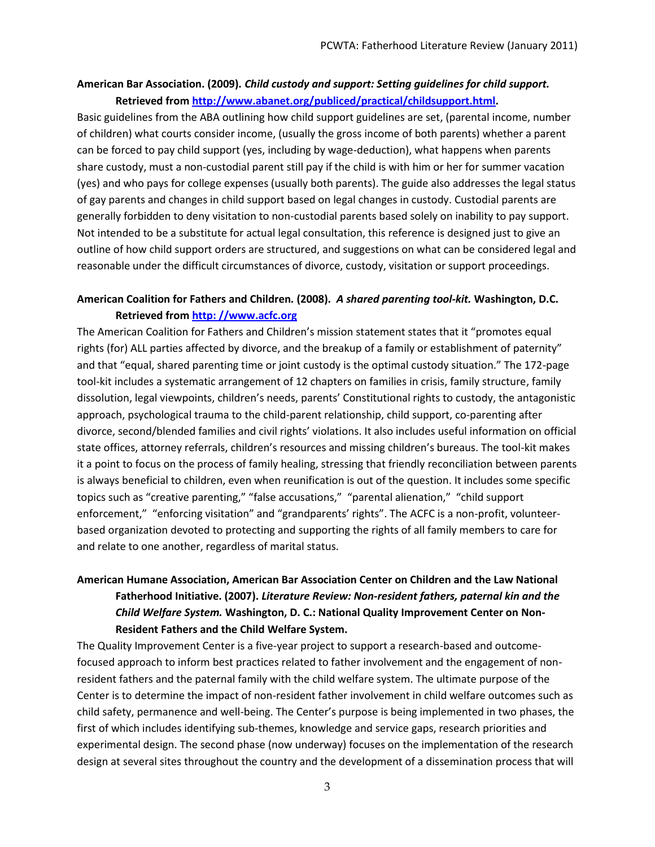# **American Bar Association. (2009).** *Child custody and support: Setting guidelines for child support.*  **Retrieved fro[m http://www.abanet.org/publiced/practical/childsupport.html.](http://www.abanet.org/publiced/practical/childsupport.html)**

Basic guidelines from the ABA outlining how child support guidelines are set, (parental income, number of children) what courts consider income, (usually the gross income of both parents) whether a parent can be forced to pay child support (yes, including by wage-deduction), what happens when parents share custody, must a non-custodial parent still pay if the child is with him or her for summer vacation (yes) and who pays for college expenses (usually both parents). The guide also addresses the legal status of gay parents and changes in child support based on legal changes in custody. Custodial parents are generally forbidden to deny visitation to non-custodial parents based solely on inability to pay support. Not intended to be a substitute for actual legal consultation, this reference is designed just to give an outline of how child support orders are structured, and suggestions on what can be considered legal and reasonable under the difficult circumstances of divorce, custody, visitation or support proceedings.

# **American Coalition for Fathers and Children***.* **(2008).** *A shared parenting tool-kit.* **Washington, D.C. Retrieved from http: //www.acfc.org**

The American Coalition for Fathers and Children's mission statement states that it "promotes equal rights (for) ALL parties affected by divorce, and the breakup of a family or establishment of paternity" and that "equal, shared parenting time or joint custody is the optimal custody situation." The 172-page tool-kit includes a systematic arrangement of 12 chapters on families in crisis, family structure, family dissolution, legal viewpoints, children's needs, parents' Constitutional rights to custody, the antagonistic approach, psychological trauma to the child-parent relationship, child support, co-parenting after divorce, second/blended families and civil rights' violations. It also includes useful information on official state offices, attorney referrals, children's resources and missing children's bureaus. The tool-kit makes it a point to focus on the process of family healing, stressing that friendly reconciliation between parents is always beneficial to children, even when reunification is out of the question. It includes some specific topics such as "creative parenting," "false accusations," "parental alienation," "child support enforcement," "enforcing visitation" and "grandparents' rights". The ACFC is a non-profit, volunteerbased organization devoted to protecting and supporting the rights of all family members to care for and relate to one another, regardless of marital status.

# **American Humane Association, American Bar Association Center on Children and the Law National Fatherhood Initiative. (2007).** *Literature Review: Non-resident fathers, paternal kin and the Child Welfare System.* **Washington, D. C.: National Quality Improvement Center on Non-Resident Fathers and the Child Welfare System.**

The Quality Improvement Center is a five-year project to support a research-based and outcomefocused approach to inform best practices related to father involvement and the engagement of nonresident fathers and the paternal family with the child welfare system. The ultimate purpose of the Center is to determine the impact of non-resident father involvement in child welfare outcomes such as child safety, permanence and well-being. The Center's purpose is being implemented in two phases, the first of which includes identifying sub-themes, knowledge and service gaps, research priorities and experimental design. The second phase (now underway) focuses on the implementation of the research design at several sites throughout the country and the development of a dissemination process that will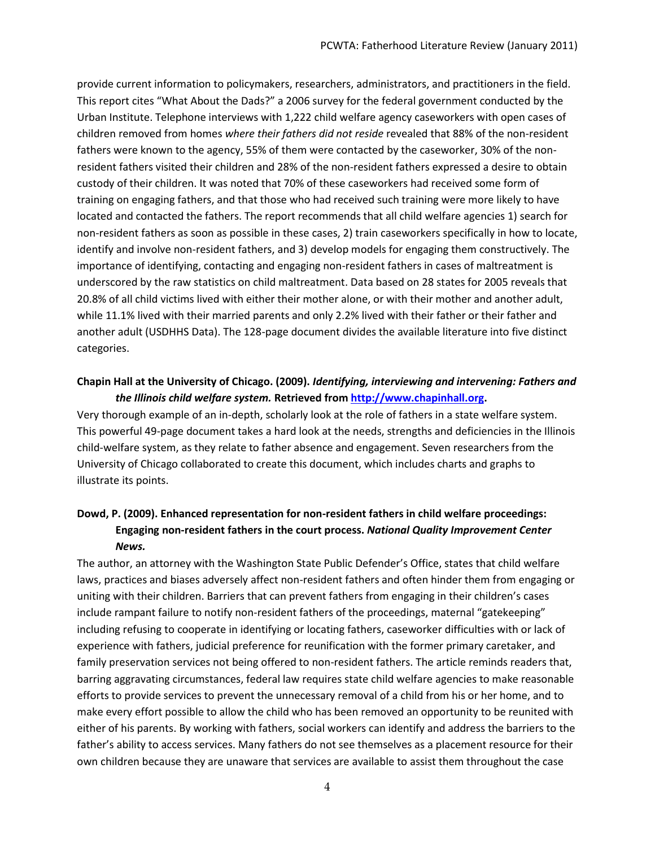provide current information to policymakers, researchers, administrators, and practitioners in the field. This report cites "What About the Dads?" a 2006 survey for the federal government conducted by the Urban Institute. Telephone interviews with 1,222 child welfare agency caseworkers with open cases of children removed from homes *where their fathers did not reside* revealed that 88% of the non-resident fathers were known to the agency, 55% of them were contacted by the caseworker, 30% of the nonresident fathers visited their children and 28% of the non-resident fathers expressed a desire to obtain custody of their children. It was noted that 70% of these caseworkers had received some form of training on engaging fathers, and that those who had received such training were more likely to have located and contacted the fathers. The report recommends that all child welfare agencies 1) search for non-resident fathers as soon as possible in these cases, 2) train caseworkers specifically in how to locate, identify and involve non-resident fathers, and 3) develop models for engaging them constructively. The importance of identifying, contacting and engaging non-resident fathers in cases of maltreatment is underscored by the raw statistics on child maltreatment. Data based on 28 states for 2005 reveals that 20.8% of all child victims lived with either their mother alone, or with their mother and another adult, while 11.1% lived with their married parents and only 2.2% lived with their father or their father and another adult (USDHHS Data). The 128-page document divides the available literature into five distinct categories.

# **Chapin Hall at the University of Chicago. (2009).** *Identifying, interviewing and intervening: Fathers and the Illinois child welfare system.* **Retrieved from [http://www.chapinhall.org.](http://www.chapinhall.org/)**

Very thorough example of an in-depth, scholarly look at the role of fathers in a state welfare system. This powerful 49-page document takes a hard look at the needs, strengths and deficiencies in the Illinois child-welfare system, as they relate to father absence and engagement. Seven researchers from the University of Chicago collaborated to create this document, which includes charts and graphs to illustrate its points.

# **Dowd, P. (2009). Enhanced representation for non-resident fathers in child welfare proceedings: Engaging non-resident fathers in the court process.** *National Quality Improvement Center News.*

The author, an attorney with the Washington State Public Defender's Office, states that child welfare laws, practices and biases adversely affect non-resident fathers and often hinder them from engaging or uniting with their children. Barriers that can prevent fathers from engaging in their children's cases include rampant failure to notify non-resident fathers of the proceedings, maternal "gatekeeping" including refusing to cooperate in identifying or locating fathers, caseworker difficulties with or lack of experience with fathers, judicial preference for reunification with the former primary caretaker, and family preservation services not being offered to non-resident fathers. The article reminds readers that, barring aggravating circumstances, federal law requires state child welfare agencies to make reasonable efforts to provide services to prevent the unnecessary removal of a child from his or her home, and to make every effort possible to allow the child who has been removed an opportunity to be reunited with either of his parents. By working with fathers, social workers can identify and address the barriers to the father's ability to access services. Many fathers do not see themselves as a placement resource for their own children because they are unaware that services are available to assist them throughout the case

4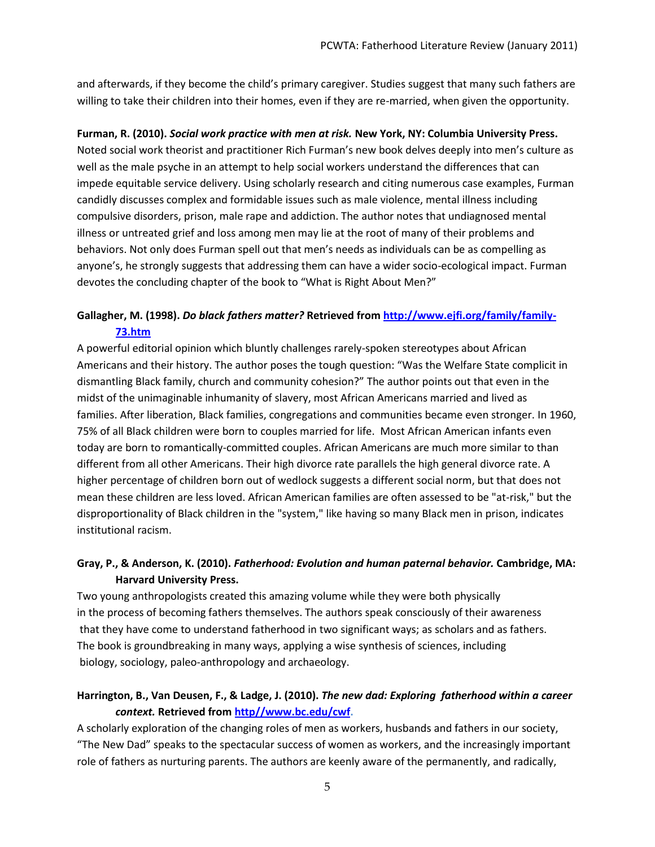and afterwards, if they become the child's primary caregiver. Studies suggest that many such fathers are willing to take their children into their homes, even if they are re-married, when given the opportunity.

#### **Furman, R. (2010).** *Social work practice with men at risk.* **New York, NY: Columbia University Press.**

Noted social work theorist and practitioner Rich Furman's new book delves deeply into men's culture as well as the male psyche in an attempt to help social workers understand the differences that can impede equitable service delivery. Using scholarly research and citing numerous case examples, Furman candidly discusses complex and formidable issues such as male violence, mental illness including compulsive disorders, prison, male rape and addiction. The author notes that undiagnosed mental illness or untreated grief and loss among men may lie at the root of many of their problems and behaviors. Not only does Furman spell out that men's needs as individuals can be as compelling as anyone's, he strongly suggests that addressing them can have a wider socio-ecological impact. Furman devotes the concluding chapter of the book to "What is Right About Men?"

# **Gallagher, M. (1998).** *Do black fathers matter?* **Retrieved from [http://www.ejfi.org/family/family-](http://www.ejfi.org/family/family-73.htm)[73.htm](http://www.ejfi.org/family/family-73.htm)**

A powerful editorial opinion which bluntly challenges rarely-spoken stereotypes about African Americans and their history. The author poses the tough question: "Was the Welfare State complicit in dismantling Black family, church and community cohesion?" The author points out that even in the midst of the unimaginable inhumanity of slavery, most African Americans married and lived as families. After liberation, Black families, congregations and communities became even stronger. In 1960, 75% of all Black children were born to couples married for life. Most African American infants even today are born to romantically-committed couples. African Americans are much more similar to than different from all other Americans. Their high divorce rate parallels the high general divorce rate. A higher percentage of children born out of wedlock suggests a different social norm, but that does not mean these children are less loved. African American families are often assessed to be "at-risk," but the disproportionality of Black children in the "system," like having so many Black men in prison, indicates institutional racism.

# **Gray, P., & Anderson, K. (2010).** *Fatherhood: Evolution and human paternal behavior.* **Cambridge, MA: Harvard University Press.**

Two young anthropologists created this amazing volume while they were both physically in the process of becoming fathers themselves. The authors speak consciously of their awareness that they have come to understand fatherhood in two significant ways; as scholars and as fathers. The book is groundbreaking in many ways, applying a wise synthesis of sciences, including biology, sociology, paleo-anthropology and archaeology.

# **Harrington, B., Van Deusen, F., & Ladge, J. (2010).** *The new dad: Exploring fatherhood within a career context.* **Retrieved from [http//www.bc.edu/cwf.](file:///C:/Documents%20and%20Settings/Janice/Local%20Settings/Temporary%20Internet%20Files/Content.Outlook/AppData/Local/Microsoft/Windows/Temporary%20Internet%20Files/Content.Outlook/AppData/Local/Microsoft/Windows/Temporary%20Internet%20Files/Content.Outlook/BHSG1WBW/http/www.bc.edu/cwf)**

A scholarly exploration of the changing roles of men as workers, husbands and fathers in our society, "The New Dad" speaks to the spectacular success of women as workers, and the increasingly important role of fathers as nurturing parents. The authors are keenly aware of the permanently, and radically,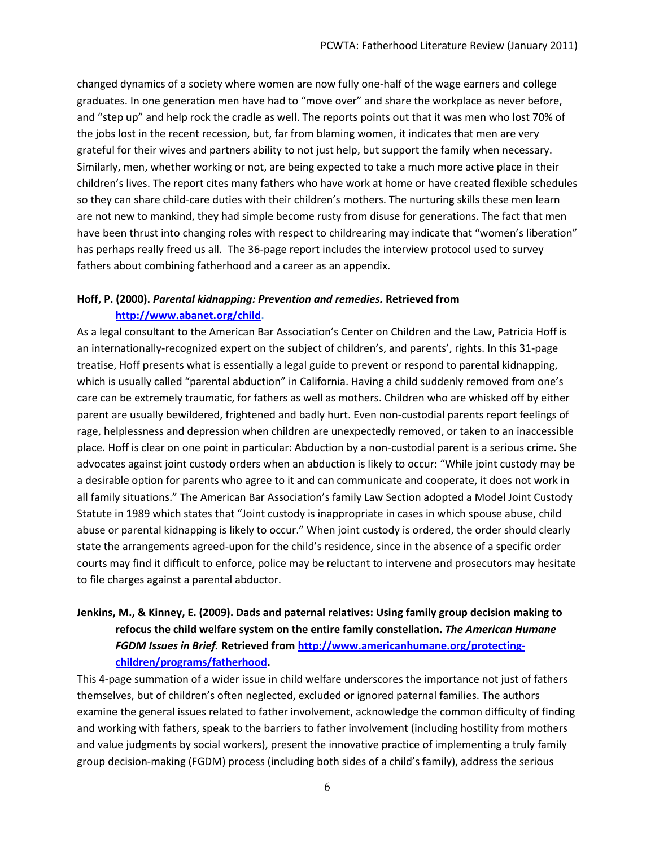changed dynamics of a society where women are now fully one-half of the wage earners and college graduates. In one generation men have had to "move over" and share the workplace as never before, and "step up" and help rock the cradle as well. The reports points out that it was men who lost 70% of the jobs lost in the recent recession, but, far from blaming women, it indicates that men are very grateful for their wives and partners ability to not just help, but support the family when necessary. Similarly, men, whether working or not, are being expected to take a much more active place in their children's lives. The report cites many fathers who have work at home or have created flexible schedules so they can share child-care duties with their children's mothers. The nurturing skills these men learn are not new to mankind, they had simple become rusty from disuse for generations. The fact that men have been thrust into changing roles with respect to childrearing may indicate that "women's liberation" has perhaps really freed us all. The 36-page report includes the interview protocol used to survey fathers about combining fatherhood and a career as an appendix.

# **Hoff, P. (2000).** *Parental kidnapping: Prevention and remedies.* **Retrieved from [http://www.abanet.org/child.](http://www.abanet.org/child)**

As a legal consultant to the American Bar Association's Center on Children and the Law, Patricia Hoff is an internationally-recognized expert on the subject of children's, and parents', rights. In this 31-page treatise, Hoff presents what is essentially a legal guide to prevent or respond to parental kidnapping, which is usually called "parental abduction" in California. Having a child suddenly removed from one's care can be extremely traumatic, for fathers as well as mothers. Children who are whisked off by either parent are usually bewildered, frightened and badly hurt. Even non-custodial parents report feelings of rage, helplessness and depression when children are unexpectedly removed, or taken to an inaccessible place. Hoff is clear on one point in particular: Abduction by a non-custodial parent is a serious crime. She advocates against joint custody orders when an abduction is likely to occur: "While joint custody may be a desirable option for parents who agree to it and can communicate and cooperate, it does not work in all family situations." The American Bar Association's family Law Section adopted a Model Joint Custody Statute in 1989 which states that "Joint custody is inappropriate in cases in which spouse abuse, child abuse or parental kidnapping is likely to occur." When joint custody is ordered, the order should clearly state the arrangements agreed-upon for the child's residence, since in the absence of a specific order courts may find it difficult to enforce, police may be reluctant to intervene and prosecutors may hesitate to file charges against a parental abductor.

# **Jenkins, M., & Kinney, E. (2009). Dads and paternal relatives: Using family group decision making to refocus the child welfare system on the entire family constellation.** *The American Humane FGDM Issues in Brief.* **Retrieved from [http://www.americanhumane.org/protecting](http://www.americanhumane.org/protecting-children/programs/fatherhood)[children/programs/fatherhood.](http://www.americanhumane.org/protecting-children/programs/fatherhood)**

This 4-page summation of a wider issue in child welfare underscores the importance not just of fathers themselves, but of children's often neglected, excluded or ignored paternal families. The authors examine the general issues related to father involvement, acknowledge the common difficulty of finding and working with fathers, speak to the barriers to father involvement (including hostility from mothers and value judgments by social workers), present the innovative practice of implementing a truly family group decision-making (FGDM) process (including both sides of a child's family), address the serious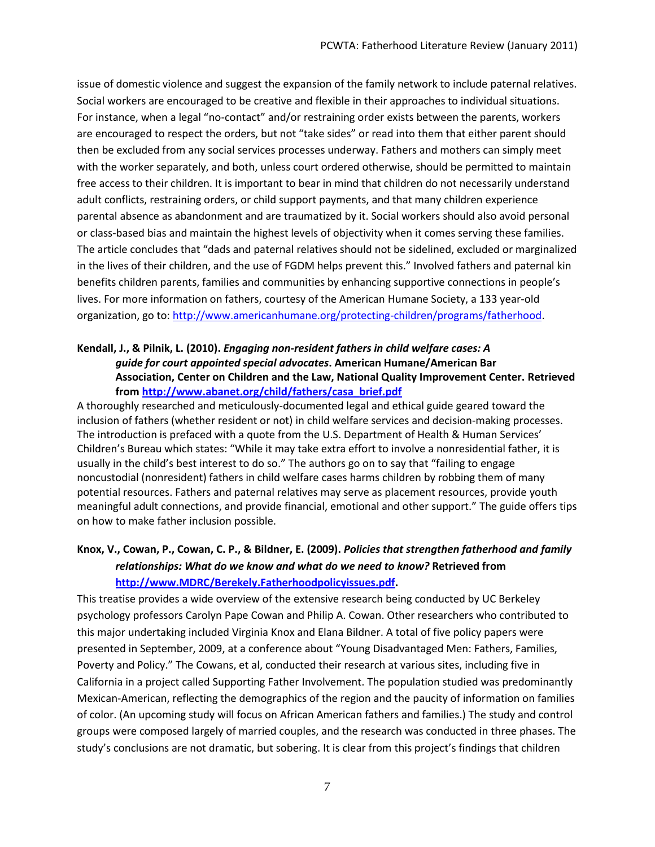issue of domestic violence and suggest the expansion of the family network to include paternal relatives. Social workers are encouraged to be creative and flexible in their approaches to individual situations. For instance, when a legal "no-contact" and/or restraining order exists between the parents, workers are encouraged to respect the orders, but not "take sides" or read into them that either parent should then be excluded from any social services processes underway. Fathers and mothers can simply meet with the worker separately, and both, unless court ordered otherwise, should be permitted to maintain free access to their children. It is important to bear in mind that children do not necessarily understand adult conflicts, restraining orders, or child support payments, and that many children experience parental absence as abandonment and are traumatized by it. Social workers should also avoid personal or class-based bias and maintain the highest levels of objectivity when it comes serving these families. The article concludes that "dads and paternal relatives should not be sidelined, excluded or marginalized in the lives of their children, and the use of FGDM helps prevent this." Involved fathers and paternal kin benefits children parents, families and communities by enhancing supportive connections in people's lives. For more information on fathers, courtesy of the American Humane Society, a 133 year-old organization, go to: [http://www.americanhumane.org/protecting-children/programs/fatherhood.](http://www.americanhumane.org/protecting-children/programs/fatherhood)

# **Kendall, J., & Pilnik, L. (2010).** *Engaging non-resident fathers in child welfare cases: A guide for court appointed special advocates***. American Humane/American Bar Association, Center on Children and the Law, National Quality Improvement Center. Retrieved fro[m http://www.abanet.org/child/fathers/casa\\_brief.pdf](http://www.abanet.org/child/fathers/casa_brief.pdf)**

A thoroughly researched and meticulously-documented legal and ethical guide geared toward the inclusion of fathers (whether resident or not) in child welfare services and decision-making processes. The introduction is prefaced with a quote from the U.S. Department of Health & Human Services' Children's Bureau which states: "While it may take extra effort to involve a nonresidential father, it is usually in the child's best interest to do so." The authors go on to say that "failing to engage noncustodial (nonresident) fathers in child welfare cases harms children by robbing them of many potential resources. Fathers and paternal relatives may serve as placement resources, provide youth meaningful adult connections, and provide financial, emotional and other support." The guide offers tips on how to make father inclusion possible.

# **Knox, V., Cowan, P., Cowan, C. P., & Bildner, E. (2009).** *Policies that strengthen fatherhood and family relationships: What do we know and what do we need to know?* **Retrieved from [http://www.MDRC/Berekely.Fatherhoodpolicyissues.pdf.](http://www.mdrc/Berekely.Fatherhoodpolicyissues.pdf)**

This treatise provides a wide overview of the extensive research being conducted by UC Berkeley psychology professors Carolyn Pape Cowan and Philip A. Cowan. Other researchers who contributed to this major undertaking included Virginia Knox and Elana Bildner. A total of five policy papers were presented in September, 2009, at a conference about "Young Disadvantaged Men: Fathers, Families, Poverty and Policy." The Cowans, et al, conducted their research at various sites, including five in California in a project called Supporting Father Involvement. The population studied was predominantly Mexican-American, reflecting the demographics of the region and the paucity of information on families of color. (An upcoming study will focus on African American fathers and families.) The study and control groups were composed largely of married couples, and the research was conducted in three phases. The study's conclusions are not dramatic, but sobering. It is clear from this project's findings that children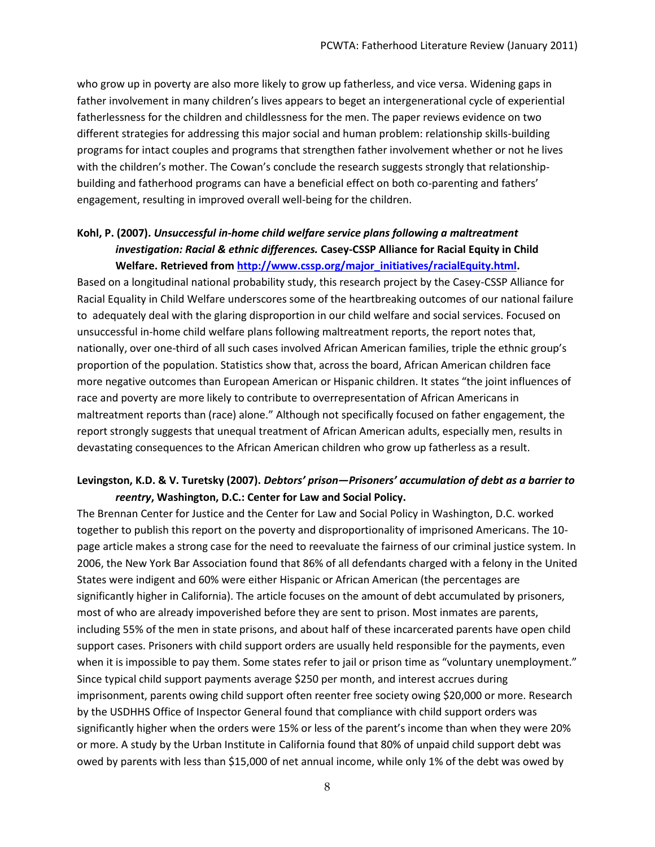who grow up in poverty are also more likely to grow up fatherless, and vice versa. Widening gaps in father involvement in many children's lives appears to beget an intergenerational cycle of experiential fatherlessness for the children and childlessness for the men. The paper reviews evidence on two different strategies for addressing this major social and human problem: relationship skills-building programs for intact couples and programs that strengthen father involvement whether or not he lives with the children's mother. The Cowan's conclude the research suggests strongly that relationshipbuilding and fatherhood programs can have a beneficial effect on both co-parenting and fathers' engagement, resulting in improved overall well-being for the children.

# **Kohl, P. (2007).** *Unsuccessful in-home child welfare service plans following a maltreatment investigation: Racial & ethnic differences.* **Casey-CSSP Alliance for Racial Equity in Child Welfare. Retrieved from [http://www.cssp.org/major\\_initiatives/racialEquity.html.](http://www.cssp.org/major_initiatives/racialEquity.html)**

Based on a longitudinal national probability study, this research project by the Casey-CSSP Alliance for Racial Equality in Child Welfare underscores some of the heartbreaking outcomes of our national failure to adequately deal with the glaring disproportion in our child welfare and social services. Focused on unsuccessful in-home child welfare plans following maltreatment reports, the report notes that, nationally, over one-third of all such cases involved African American families, triple the ethnic group's proportion of the population. Statistics show that, across the board, African American children face more negative outcomes than European American or Hispanic children. It states "the joint influences of race and poverty are more likely to contribute to overrepresentation of African Americans in maltreatment reports than (race) alone." Although not specifically focused on father engagement, the report strongly suggests that unequal treatment of African American adults, especially men, results in devastating consequences to the African American children who grow up fatherless as a result.

# **Levingston, K.D. & V. Turetsky (2007).** *Debtors' prison—Prisoners' accumulation of debt as a barrier to reentry***, Washington, D.C.: Center for Law and Social Policy.**

The Brennan Center for Justice and the Center for Law and Social Policy in Washington, D.C. worked together to publish this report on the poverty and disproportionality of imprisoned Americans. The 10 page article makes a strong case for the need to reevaluate the fairness of our criminal justice system. In 2006, the New York Bar Association found that 86% of all defendants charged with a felony in the United States were indigent and 60% were either Hispanic or African American (the percentages are significantly higher in California). The article focuses on the amount of debt accumulated by prisoners, most of who are already impoverished before they are sent to prison. Most inmates are parents, including 55% of the men in state prisons, and about half of these incarcerated parents have open child support cases. Prisoners with child support orders are usually held responsible for the payments, even when it is impossible to pay them. Some states refer to jail or prison time as "voluntary unemployment." Since typical child support payments average \$250 per month, and interest accrues during imprisonment, parents owing child support often reenter free society owing \$20,000 or more. Research by the USDHHS Office of Inspector General found that compliance with child support orders was significantly higher when the orders were 15% or less of the parent's income than when they were 20% or more. A study by the Urban Institute in California found that 80% of unpaid child support debt was owed by parents with less than \$15,000 of net annual income, while only 1% of the debt was owed by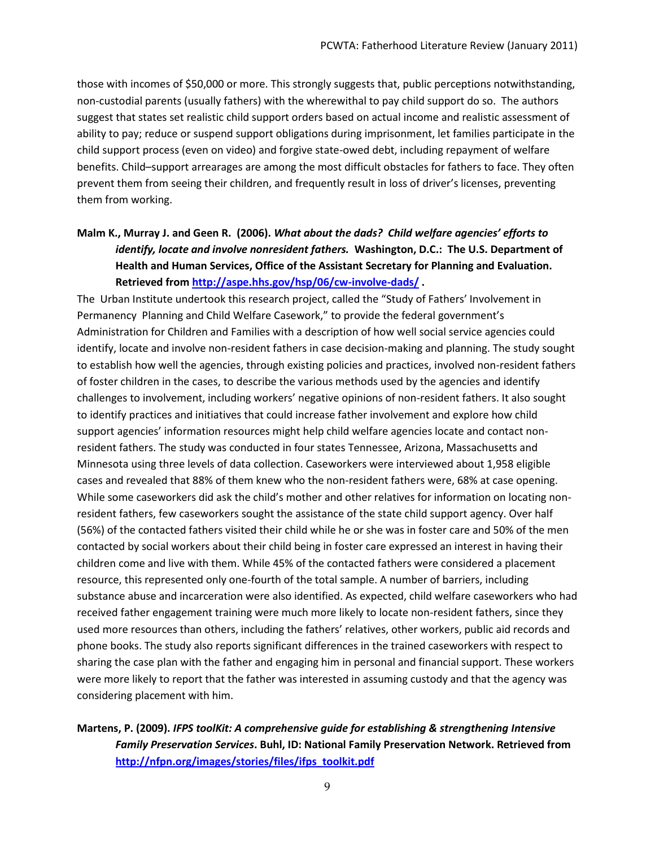those with incomes of \$50,000 or more. This strongly suggests that, public perceptions notwithstanding, non-custodial parents (usually fathers) with the wherewithal to pay child support do so. The authors suggest that states set realistic child support orders based on actual income and realistic assessment of ability to pay; reduce or suspend support obligations during imprisonment, let families participate in the child support process (even on video) and forgive state-owed debt, including repayment of welfare benefits. Child–support arrearages are among the most difficult obstacles for fathers to face. They often prevent them from seeing their children, and frequently result in loss of driver's licenses, preventing them from working.

# **Malm K., Murray J. and Geen R. (2006).** *What about the dads? Child welfare agencies' efforts to identify, locate and involve nonresident fathers.* **Washington, D.C.: The U.S. Department of Health and Human Services, Office of the Assistant Secretary for Planning and Evaluation. Retrieved fro[m http://aspe.hhs.gov/hsp/06/cw-involve-dads/](http://aspe.hhs.gov/hsp/06/cw-involve-dads/) .**

The Urban Institute undertook this research project, called the "Study of Fathers' Involvement in Permanency Planning and Child Welfare Casework," to provide the federal government's Administration for Children and Families with a description of how well social service agencies could identify, locate and involve non-resident fathers in case decision-making and planning. The study sought to establish how well the agencies, through existing policies and practices, involved non-resident fathers of foster children in the cases, to describe the various methods used by the agencies and identify challenges to involvement, including workers' negative opinions of non-resident fathers. It also sought to identify practices and initiatives that could increase father involvement and explore how child support agencies' information resources might help child welfare agencies locate and contact nonresident fathers. The study was conducted in four states Tennessee, Arizona, Massachusetts and Minnesota using three levels of data collection. Caseworkers were interviewed about 1,958 eligible cases and revealed that 88% of them knew who the non-resident fathers were, 68% at case opening. While some caseworkers did ask the child's mother and other relatives for information on locating nonresident fathers, few caseworkers sought the assistance of the state child support agency. Over half (56%) of the contacted fathers visited their child while he or she was in foster care and 50% of the men contacted by social workers about their child being in foster care expressed an interest in having their children come and live with them. While 45% of the contacted fathers were considered a placement resource, this represented only one-fourth of the total sample. A number of barriers, including substance abuse and incarceration were also identified. As expected, child welfare caseworkers who had received father engagement training were much more likely to locate non-resident fathers, since they used more resources than others, including the fathers' relatives, other workers, public aid records and phone books. The study also reports significant differences in the trained caseworkers with respect to sharing the case plan with the father and engaging him in personal and financial support. These workers were more likely to report that the father was interested in assuming custody and that the agency was considering placement with him.

# **Martens, P. (2009).** *IFPS toolKit: A comprehensive guide for establishing & strengthening Intensive Family Preservation Services***. Buhl, ID: National Family Preservation Network. Retrieved from [http://nfpn.org/images/stories/files/ifps\\_toolkit.pdf](http://nfpn.org/images/stories/files/ifps_toolkit.pdf)**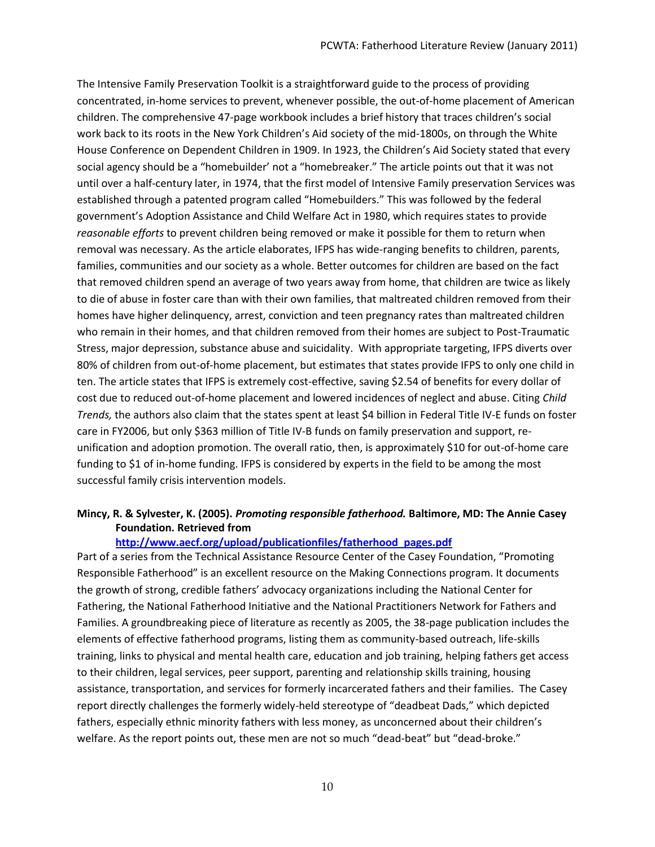The Intensive Family Preservation Toolkit is a straightforward guide to the process of providing concentrated, in-home services to prevent, whenever possible, the out-of-home placement of American children. The comprehensive 47-page workbook includes a brief history that traces children's social work back to its roots in the New York Children's Aid society of the mid-1800s, on through the White House Conference on Dependent Children in 1909. In 1923, the Children's Aid Society stated that every social agency should be a "homebuilder' not a "homebreaker." The article points out that it was not until over a half-century later, in 1974, that the first model of Intensive Family preservation Services was established through a patented program called "Homebuilders." This was followed by the federal government's Adoption Assistance and Child Welfare Act in 1980, which requires states to provide *reasonable efforts* to prevent children being removed or make it possible for them to return when removal was necessary. As the article elaborates, IFPS has wide-ranging benefits to children, parents, families, communities and our society as a whole. Better outcomes for children are based on the fact that removed children spend an average of two years away from home, that children are twice as likely to die of abuse in foster care than with their own families, that maltreated children removed from their homes have higher delinquency, arrest, conviction and teen pregnancy rates than maltreated children who remain in their homes, and that children removed from their homes are subject to Post-Traumatic Stress, major depression, substance abuse and suicidality. With appropriate targeting, IFPS diverts over 80% of children from out-of-home placement, but estimates that states provide IFPS to only one child in ten. The article states that IFPS is extremely cost-effective, saving \$2.54 of benefits for every dollar of cost due to reduced out-of-home placement and lowered incidences of neglect and abuse. Citing *Child Trends,* the authors also claim that the states spent at least \$4 billion in Federal Title IV-E funds on foster care in FY2006, but only \$363 million of Title IV-B funds on family preservation and support, reunification and adoption promotion. The overall ratio, then, is approximately \$10 for out-of-home care funding to \$1 of in-home funding. IFPS is considered by experts in the field to be among the most successful family crisis intervention models.

# **Mincy, R. & Sylvester, K. (2005).** *Promoting responsible fatherhood.* **Baltimore, MD: The Annie Casey Foundation. Retrieved from**

#### **[http://www.aecf.org/upload/publicationfiles/fatherhood\\_pages.pdf](http://www.aecf.org/upload/publicationfiles/fatherhood_pages.pdf)**

Part of a series from the Technical Assistance Resource Center of the Casey Foundation, "Promoting Responsible Fatherhood" is an excellent resource on the Making Connections program. It documents the growth of strong, credible fathers' advocacy organizations including the National Center for Fathering, the National Fatherhood Initiative and the National Practitioners Network for Fathers and Families. A groundbreaking piece of literature as recently as 2005, the 38-page publication includes the elements of effective fatherhood programs, listing them as community-based outreach, life-skills training, links to physical and mental health care, education and job training, helping fathers get access to their children, legal services, peer support, parenting and relationship skills training, housing assistance, transportation, and services for formerly incarcerated fathers and their families. The Casey report directly challenges the formerly widely-held stereotype of "deadbeat Dads," which depicted fathers, especially ethnic minority fathers with less money, as unconcerned about their children's welfare. As the report points out, these men are not so much "dead-beat" but "dead-broke."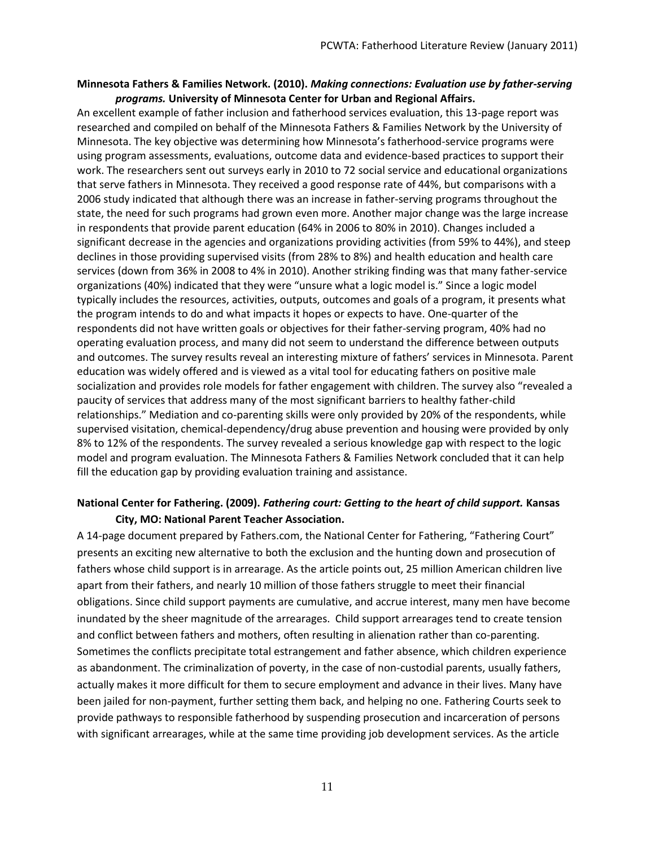### **Minnesota Fathers & Families Network. (2010).** *Making connections: Evaluation use by father-serving programs.* **University of Minnesota Center for Urban and Regional Affairs.**

An excellent example of father inclusion and fatherhood services evaluation, this 13-page report was researched and compiled on behalf of the Minnesota Fathers & Families Network by the University of Minnesota. The key objective was determining how Minnesota's fatherhood-service programs were using program assessments, evaluations, outcome data and evidence-based practices to support their work. The researchers sent out surveys early in 2010 to 72 social service and educational organizations that serve fathers in Minnesota. They received a good response rate of 44%, but comparisons with a 2006 study indicated that although there was an increase in father-serving programs throughout the state, the need for such programs had grown even more. Another major change was the large increase in respondents that provide parent education (64% in 2006 to 80% in 2010). Changes included a significant decrease in the agencies and organizations providing activities (from 59% to 44%), and steep declines in those providing supervised visits (from 28% to 8%) and health education and health care services (down from 36% in 2008 to 4% in 2010). Another striking finding was that many father-service organizations (40%) indicated that they were "unsure what a logic model is." Since a logic model typically includes the resources, activities, outputs, outcomes and goals of a program, it presents what the program intends to do and what impacts it hopes or expects to have. One-quarter of the respondents did not have written goals or objectives for their father-serving program, 40% had no operating evaluation process, and many did not seem to understand the difference between outputs and outcomes. The survey results reveal an interesting mixture of fathers' services in Minnesota. Parent education was widely offered and is viewed as a vital tool for educating fathers on positive male socialization and provides role models for father engagement with children. The survey also "revealed a paucity of services that address many of the most significant barriers to healthy father-child relationships." Mediation and co-parenting skills were only provided by 20% of the respondents, while supervised visitation, chemical-dependency/drug abuse prevention and housing were provided by only 8% to 12% of the respondents. The survey revealed a serious knowledge gap with respect to the logic model and program evaluation. The Minnesota Fathers & Families Network concluded that it can help fill the education gap by providing evaluation training and assistance.

# **National Center for Fathering. (2009).** *Fathering court: Getting to the heart of child support.* **Kansas City, MO: National Parent Teacher Association.**

A 14-page document prepared by Fathers.com, the National Center for Fathering, "Fathering Court" presents an exciting new alternative to both the exclusion and the hunting down and prosecution of fathers whose child support is in arrearage. As the article points out, 25 million American children live apart from their fathers, and nearly 10 million of those fathers struggle to meet their financial obligations. Since child support payments are cumulative, and accrue interest, many men have become inundated by the sheer magnitude of the arrearages. Child support arrearages tend to create tension and conflict between fathers and mothers, often resulting in alienation rather than co-parenting. Sometimes the conflicts precipitate total estrangement and father absence, which children experience as abandonment. The criminalization of poverty, in the case of non-custodial parents, usually fathers, actually makes it more difficult for them to secure employment and advance in their lives. Many have been jailed for non-payment, further setting them back, and helping no one. Fathering Courts seek to provide pathways to responsible fatherhood by suspending prosecution and incarceration of persons with significant arrearages, while at the same time providing job development services. As the article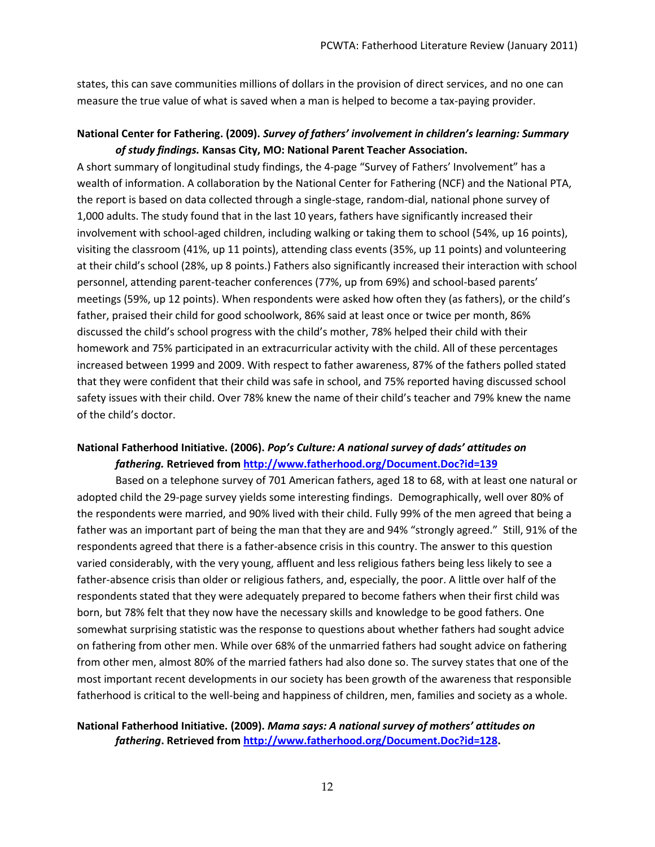states, this can save communities millions of dollars in the provision of direct services, and no one can measure the true value of what is saved when a man is helped to become a tax-paying provider.

# **National Center for Fathering. (2009).** *Survey of fathers' involvement in children's learning: Summary of study findings.* **Kansas City, MO: National Parent Teacher Association.**

A short summary of longitudinal study findings, the 4-page "Survey of Fathers' Involvement" has a wealth of information. A collaboration by the National Center for Fathering (NCF) and the National PTA, the report is based on data collected through a single-stage, random-dial, national phone survey of 1,000 adults. The study found that in the last 10 years, fathers have significantly increased their involvement with school-aged children, including walking or taking them to school (54%, up 16 points), visiting the classroom (41%, up 11 points), attending class events (35%, up 11 points) and volunteering at their child's school (28%, up 8 points.) Fathers also significantly increased their interaction with school personnel, attending parent-teacher conferences (77%, up from 69%) and school-based parents' meetings (59%, up 12 points). When respondents were asked how often they (as fathers), or the child's father, praised their child for good schoolwork, 86% said at least once or twice per month, 86% discussed the child's school progress with the child's mother, 78% helped their child with their homework and 75% participated in an extracurricular activity with the child. All of these percentages increased between 1999 and 2009. With respect to father awareness, 87% of the fathers polled stated that they were confident that their child was safe in school, and 75% reported having discussed school safety issues with their child. Over 78% knew the name of their child's teacher and 79% knew the name of the child's doctor.

# **National Fatherhood Initiative. (2006).** *Pop's Culture: A national survey of dads' attitudes on fathering.* **Retrieved fro[m http://www.fatherhood.org/Document.Doc?id=139](http://www.fatherhood.org/Document.Doc?id=139)**

Based on a telephone survey of 701 American fathers, aged 18 to 68, with at least one natural or adopted child the 29-page survey yields some interesting findings. Demographically, well over 80% of the respondents were married, and 90% lived with their child. Fully 99% of the men agreed that being a father was an important part of being the man that they are and 94% "strongly agreed." Still, 91% of the respondents agreed that there is a father-absence crisis in this country. The answer to this question varied considerably, with the very young, affluent and less religious fathers being less likely to see a father-absence crisis than older or religious fathers, and, especially, the poor. A little over half of the respondents stated that they were adequately prepared to become fathers when their first child was born, but 78% felt that they now have the necessary skills and knowledge to be good fathers. One somewhat surprising statistic was the response to questions about whether fathers had sought advice on fathering from other men. While over 68% of the unmarried fathers had sought advice on fathering from other men, almost 80% of the married fathers had also done so. The survey states that one of the most important recent developments in our society has been growth of the awareness that responsible fatherhood is critical to the well-being and happiness of children, men, families and society as a whole.

# **National Fatherhood Initiative. (2009).** *Mama says: A national survey of mothers' attitudes on fathering***. Retrieved fro[m http://www.fatherhood.org/Document.Doc?id=128.](http://www.fatherhood.org/Document.Doc?id=128)**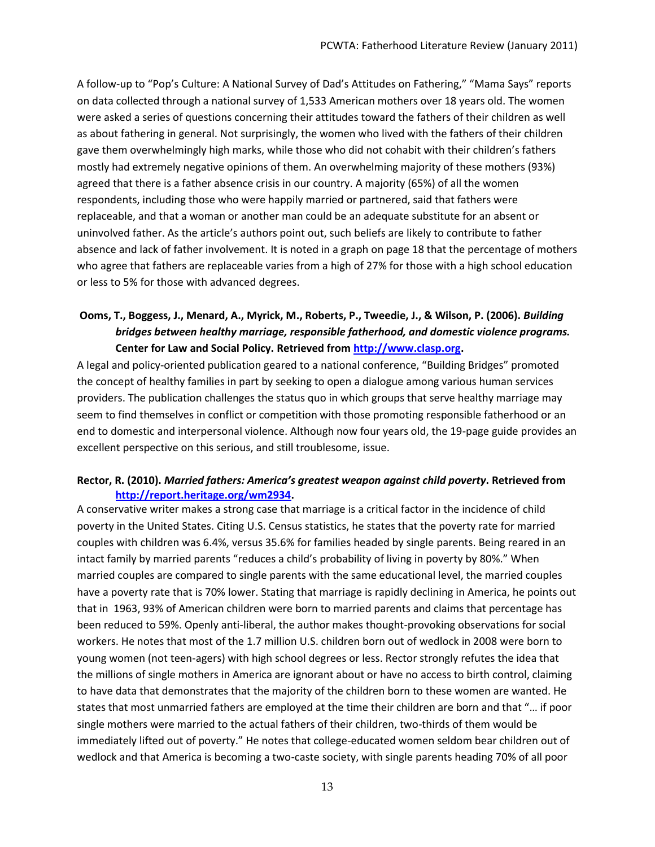A follow-up to "Pop's Culture: A National Survey of Dad's Attitudes on Fathering," "Mama Says" reports on data collected through a national survey of 1,533 American mothers over 18 years old. The women were asked a series of questions concerning their attitudes toward the fathers of their children as well as about fathering in general. Not surprisingly, the women who lived with the fathers of their children gave them overwhelmingly high marks, while those who did not cohabit with their children's fathers mostly had extremely negative opinions of them. An overwhelming majority of these mothers (93%) agreed that there is a father absence crisis in our country. A majority (65%) of all the women respondents, including those who were happily married or partnered, said that fathers were replaceable, and that a woman or another man could be an adequate substitute for an absent or uninvolved father. As the article's authors point out, such beliefs are likely to contribute to father absence and lack of father involvement. It is noted in a graph on page 18 that the percentage of mothers who agree that fathers are replaceable varies from a high of 27% for those with a high school education or less to 5% for those with advanced degrees.

# **Ooms, T., Boggess, J., Menard, A., Myrick, M., Roberts, P., Tweedie, J., & Wilson, P. (2006).** *Building bridges between healthy marriage, responsible fatherhood, and domestic violence programs.* **Center for Law and Social Policy. Retrieved from [http://www.clasp.org.](http://www.clasp.org/)**

A legal and policy-oriented publication geared to a national conference, "Building Bridges" promoted the concept of healthy families in part by seeking to open a dialogue among various human services providers. The publication challenges the status quo in which groups that serve healthy marriage may seem to find themselves in conflict or competition with those promoting responsible fatherhood or an end to domestic and interpersonal violence. Although now four years old, the 19-page guide provides an excellent perspective on this serious, and still troublesome, issue.

# **Rector, R. (2010).** *Married fathers: America's greatest weapon against child poverty***. Retrieved from [http://report.heritage.org/wm2934.](http://report.heritage.org/wm2934)**

A conservative writer makes a strong case that marriage is a critical factor in the incidence of child poverty in the United States. Citing U.S. Census statistics, he states that the poverty rate for married couples with children was 6.4%, versus 35.6% for families headed by single parents. Being reared in an intact family by married parents "reduces a child's probability of living in poverty by 80%." When married couples are compared to single parents with the same educational level, the married couples have a poverty rate that is 70% lower. Stating that marriage is rapidly declining in America, he points out that in 1963, 93% of American children were born to married parents and claims that percentage has been reduced to 59%. Openly anti-liberal, the author makes thought-provoking observations for social workers. He notes that most of the 1.7 million U.S. children born out of wedlock in 2008 were born to young women (not teen-agers) with high school degrees or less. Rector strongly refutes the idea that the millions of single mothers in America are ignorant about or have no access to birth control, claiming to have data that demonstrates that the majority of the children born to these women are wanted. He states that most unmarried fathers are employed at the time their children are born and that "… if poor single mothers were married to the actual fathers of their children, two-thirds of them would be immediately lifted out of poverty." He notes that college-educated women seldom bear children out of wedlock and that America is becoming a two-caste society, with single parents heading 70% of all poor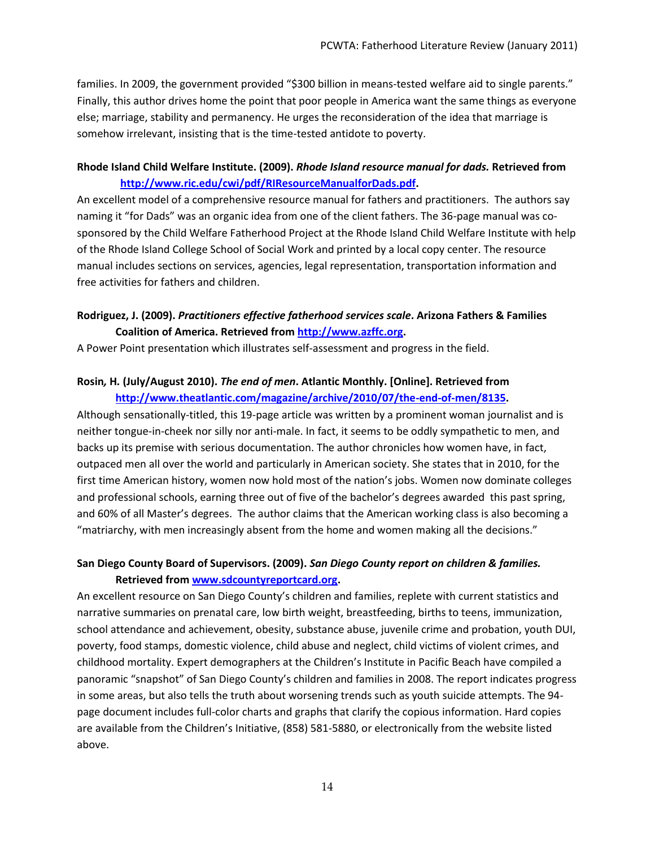families. In 2009, the government provided "\$300 billion in means-tested welfare aid to single parents." Finally, this author drives home the point that poor people in America want the same things as everyone else; marriage, stability and permanency. He urges the reconsideration of the idea that marriage is somehow irrelevant, insisting that is the time-tested antidote to poverty.

# **Rhode Island Child Welfare Institute. (2009).** *Rhode Island resource manual for dads.* **Retrieved from [http://www.ric.edu/cwi/pdf/RIResourceManualforDads.pdf.](http://www.ric.edu/cwi/pdf/RIResourceManualforDads.pdf)**

An excellent model of a comprehensive resource manual for fathers and practitioners. The authors say naming it "for Dads" was an organic idea from one of the client fathers. The 36-page manual was cosponsored by the Child Welfare Fatherhood Project at the Rhode Island Child Welfare Institute with help of the Rhode Island College School of Social Work and printed by a local copy center. The resource manual includes sections on services, agencies, legal representation, transportation information and free activities for fathers and children.

# **Rodriguez, J. (2009).** *Practitioners effective fatherhood services scale***. Arizona Fathers & Families Coalition of America. Retrieved from [http://www.azffc.org.](http://www.azffc.org/)**

A Power Point presentation which illustrates self-assessment and progress in the field.

# **Rosin***,* **H***.* **(July/August 2010).** *The end of men***. Atlantic Monthly. [Online]. Retrieved from [http://www.theatlantic.com/magazine/archive/2010/07/the-end-of-men/8135.](http://www.theatlantic.com/magazine/archive/2010/07/the-end-of-men/8135)**

Although sensationally-titled, this 19-page article was written by a prominent woman journalist and is neither tongue-in-cheek nor silly nor anti-male. In fact, it seems to be oddly sympathetic to men, and backs up its premise with serious documentation. The author chronicles how women have, in fact, outpaced men all over the world and particularly in American society. She states that in 2010, for the first time American history, women now hold most of the nation's jobs. Women now dominate colleges and professional schools, earning three out of five of the bachelor's degrees awarded this past spring, and 60% of all Master's degrees. The author claims that the American working class is also becoming a "matriarchy, with men increasingly absent from the home and women making all the decisions."

# **San Diego County Board of Supervisors. (2009).** *San Diego County report on children & families.* **Retrieved fro[m www.sdcountyreportcard.org.](http://www.sdcountyreportcard.org/)**

An excellent resource on San Diego County's children and families, replete with current statistics and narrative summaries on prenatal care, low birth weight, breastfeeding, births to teens, immunization, school attendance and achievement, obesity, substance abuse, juvenile crime and probation, youth DUI, poverty, food stamps, domestic violence, child abuse and neglect, child victims of violent crimes, and childhood mortality. Expert demographers at the Children's Institute in Pacific Beach have compiled a panoramic "snapshot" of San Diego County's children and families in 2008. The report indicates progress in some areas, but also tells the truth about worsening trends such as youth suicide attempts. The 94 page document includes full-color charts and graphs that clarify the copious information. Hard copies are available from the Children's Initiative, (858) 581-5880, or electronically from the website listed above.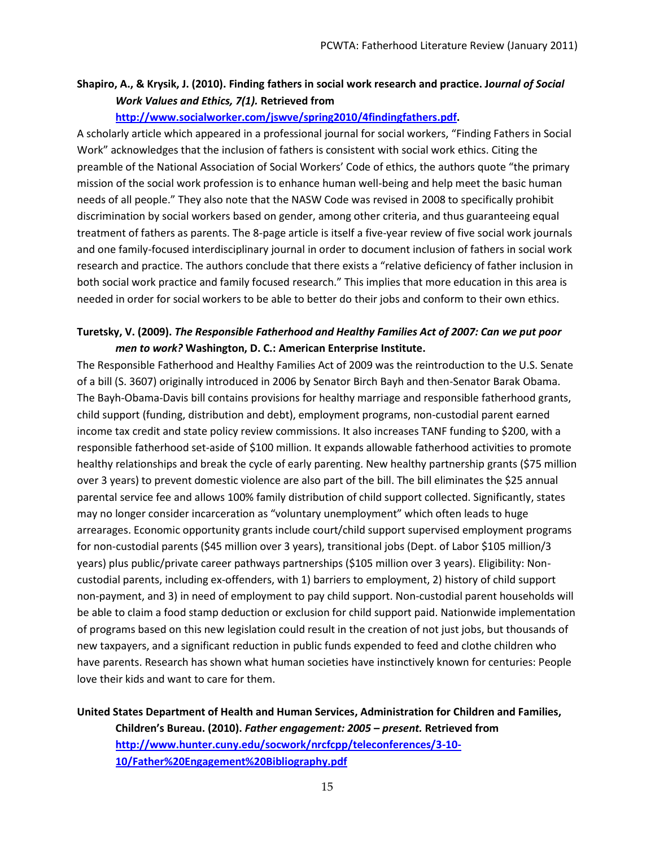# **Shapiro, A., & Krysik, J. (2010). Finding fathers in social work research and practice. J***ournal of Social Work Values and Ethics, 7(1).* **Retrieved from**

### **[http://www.socialworker.com/jswve/spring2010/4findingfathers.pdf.](http://www.socialworker.com/jswve/spring2010/4findingfathers.pdf)**

A scholarly article which appeared in a professional journal for social workers, "Finding Fathers in Social Work" acknowledges that the inclusion of fathers is consistent with social work ethics. Citing the preamble of the National Association of Social Workers' Code of ethics, the authors quote "the primary mission of the social work profession is to enhance human well-being and help meet the basic human needs of all people." They also note that the NASW Code was revised in 2008 to specifically prohibit discrimination by social workers based on gender, among other criteria, and thus guaranteeing equal treatment of fathers as parents. The 8-page article is itself a five-year review of five social work journals and one family-focused interdisciplinary journal in order to document inclusion of fathers in social work research and practice. The authors conclude that there exists a "relative deficiency of father inclusion in both social work practice and family focused research." This implies that more education in this area is needed in order for social workers to be able to better do their jobs and conform to their own ethics.

# **Turetsky, V. (2009).** *The Responsible Fatherhood and Healthy Families Act of 2007: Can we put poor men to work?* **Washington, D. C.: American Enterprise Institute.**

The Responsible Fatherhood and Healthy Families Act of 2009 was the reintroduction to the U.S. Senate of a bill (S. 3607) originally introduced in 2006 by Senator Birch Bayh and then-Senator Barak Obama. The Bayh-Obama-Davis bill contains provisions for healthy marriage and responsible fatherhood grants, child support (funding, distribution and debt), employment programs, non-custodial parent earned income tax credit and state policy review commissions. It also increases TANF funding to \$200, with a responsible fatherhood set-aside of \$100 million. It expands allowable fatherhood activities to promote healthy relationships and break the cycle of early parenting. New healthy partnership grants (\$75 million over 3 years) to prevent domestic violence are also part of the bill. The bill eliminates the \$25 annual parental service fee and allows 100% family distribution of child support collected. Significantly, states may no longer consider incarceration as "voluntary unemployment" which often leads to huge arrearages. Economic opportunity grants include court/child support supervised employment programs for non-custodial parents (\$45 million over 3 years), transitional jobs (Dept. of Labor \$105 million/3 years) plus public/private career pathways partnerships (\$105 million over 3 years). Eligibility: Noncustodial parents, including ex-offenders, with 1) barriers to employment, 2) history of child support non-payment, and 3) in need of employment to pay child support. Non-custodial parent households will be able to claim a food stamp deduction or exclusion for child support paid. Nationwide implementation of programs based on this new legislation could result in the creation of not just jobs, but thousands of new taxpayers, and a significant reduction in public funds expended to feed and clothe children who have parents. Research has shown what human societies have instinctively known for centuries: People love their kids and want to care for them.

# **United States Department of Health and Human Services, Administration for Children and Families, Children's Bureau. (2010).** *Father engagement: 2005 – present.* **Retrieved from [http://www.hunter.cuny.edu/socwork/nrcfcpp/teleconferences/3-10-](http://www.hunter.cuny.edu/socwork/nrcfcpp/teleconferences/3-10-10/Father%20Engagement%20Bibliography.pdf) [10/Father%20Engagement%20Bibliography.pdf](http://www.hunter.cuny.edu/socwork/nrcfcpp/teleconferences/3-10-10/Father%20Engagement%20Bibliography.pdf)**